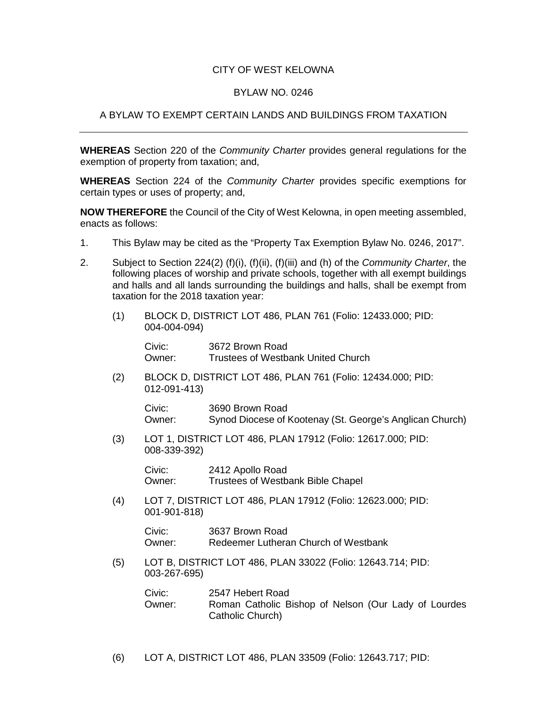## CITY OF WEST KELOWNA

## BYLAW NO. 0246

## A BYLAW TO EXEMPT CERTAIN LANDS AND BUILDINGS FROM TAXATION

**WHEREAS** Section 220 of the *Community Charter* provides general regulations for the exemption of property from taxation; and,

**WHEREAS** Section 224 of the *Community Charter* provides specific exemptions for certain types or uses of property; and,

**NOW THEREFORE** the Council of the City of West Kelowna, in open meeting assembled, enacts as follows:

- 1. This Bylaw may be cited as the "Property Tax Exemption Bylaw No. 0246, 2017".
- 2. Subject to Section 224(2) (f)(i), (f)(ii), (f)(iii) and (h) of the *Community Charter*, the following places of worship and private schools, together with all exempt buildings and halls and all lands surrounding the buildings and halls, shall be exempt from taxation for the 2018 taxation year:
	- (1) BLOCK D, DISTRICT LOT 486, PLAN 761 (Folio: 12433.000; PID: 004-004-094)

Civic: 3672 Brown Road Owner: Trustees of Westbank United Church

(2) BLOCK D, DISTRICT LOT 486, PLAN 761 (Folio: 12434.000; PID: 012-091-413)

Civic: 3690 Brown Road Owner: Synod Diocese of Kootenay (St. George's Anglican Church)

(3) LOT 1, DISTRICT LOT 486, PLAN 17912 (Folio: 12617.000; PID: 008-339-392)

> Civic: 2412 Apollo Road Owner: Trustees of Westbank Bible Chapel

(4) LOT 7, DISTRICT LOT 486, PLAN 17912 (Folio: 12623.000; PID: 001-901-818)

> Civic: 3637 Brown Road Owner: Redeemer Lutheran Church of Westbank

(5) LOT B, DISTRICT LOT 486, PLAN 33022 (Folio: 12643.714; PID: 003-267-695)

| Civic: | 2547 Hebert Road                                                         |
|--------|--------------------------------------------------------------------------|
| Owner: | Roman Catholic Bishop of Nelson (Our Lady of Lourdes<br>Catholic Church) |

(6) LOT A, DISTRICT LOT 486, PLAN 33509 (Folio: 12643.717; PID: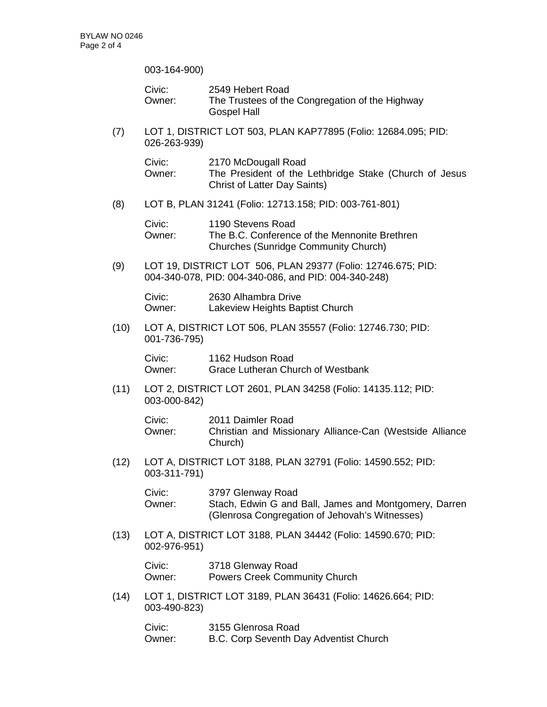003-164-900)

|      | Civic:<br>Owner:                                                                                                     | 2549 Hebert Road<br>The Trustees of the Congregation of the Highway<br><b>Gospel Hall</b>                                    |  |
|------|----------------------------------------------------------------------------------------------------------------------|------------------------------------------------------------------------------------------------------------------------------|--|
| (7)  | LOT 1, DISTRICT LOT 503, PLAN KAP77895 (Folio: 12684.095; PID:<br>026-263-939)                                       |                                                                                                                              |  |
|      | Civic:<br>Owner:                                                                                                     | 2170 McDougall Road<br>The President of the Lethbridge Stake (Church of Jesus<br><b>Christ of Latter Day Saints)</b>         |  |
| (8)  | LOT B, PLAN 31241 (Folio: 12713.158; PID: 003-761-801)                                                               |                                                                                                                              |  |
|      | Civic:<br>Owner:                                                                                                     | 1190 Stevens Road<br>The B.C. Conference of the Mennonite Brethren<br><b>Churches (Sunridge Community Church)</b>            |  |
| (9)  | LOT 19, DISTRICT LOT 506, PLAN 29377 (Folio: 12746.675; PID:<br>004-340-078, PID: 004-340-086, and PID: 004-340-248) |                                                                                                                              |  |
|      | Civic:<br>Owner:                                                                                                     | 2630 Alhambra Drive<br>Lakeview Heights Baptist Church                                                                       |  |
| (10) | LOT A, DISTRICT LOT 506, PLAN 35557 (Folio: 12746.730; PID:<br>001-736-795)                                          |                                                                                                                              |  |
|      | Civic:<br>Owner:                                                                                                     | 1162 Hudson Road<br><b>Grace Lutheran Church of Westbank</b>                                                                 |  |
| (11) | LOT 2, DISTRICT LOT 2601, PLAN 34258 (Folio: 14135.112; PID:<br>003-000-842)                                         |                                                                                                                              |  |
|      | Civic:<br>Owner:                                                                                                     | 2011 Daimler Road<br>Christian and Missionary Alliance-Can (Westside Alliance<br>Church)                                     |  |
| (12) | LOT A, DISTRICT LOT 3188, PLAN 32791 (Folio: 14590.552; PID:<br>003-311-791)                                         |                                                                                                                              |  |
|      | Civic:<br>Owner:                                                                                                     | 3797 Glenway Road<br>Stach, Edwin G and Ball, James and Montgomery, Darren<br>(Glenrosa Congregation of Jehovah's Witnesses) |  |
| (13) | LOT A, DISTRICT LOT 3188, PLAN 34442 (Folio: 14590.670; PID:<br>002-976-951)                                         |                                                                                                                              |  |
|      | Civic:<br>Owner:                                                                                                     | 3718 Glenway Road<br><b>Powers Creek Community Church</b>                                                                    |  |
| (14) | LOT 1, DISTRICT LOT 3189, PLAN 36431 (Folio: 14626.664; PID:<br>003-490-823)                                         |                                                                                                                              |  |
|      | Civic:                                                                                                               | 3155 Glenrosa Road                                                                                                           |  |

Owner: B.C. Corp Seventh Day Adventist Church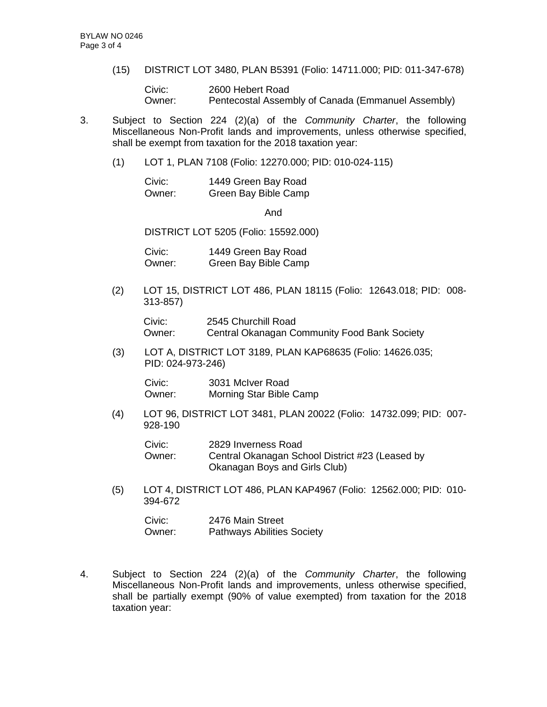(15) DISTRICT LOT 3480, PLAN B5391 (Folio: 14711.000; PID: 011-347-678)

Civic: 2600 Hebert Road Owner: Pentecostal Assembly of Canada (Emmanuel Assembly)

- 3. Subject to Section 224 (2)(a) of the *Community Charter*, the following Miscellaneous Non-Profit lands and improvements, unless otherwise specified, shall be exempt from taxation for the 2018 taxation year:
	- (1) LOT 1, PLAN 7108 (Folio: 12270.000; PID: 010-024-115)

| Civic: | 1449 Green Bay Road  |
|--------|----------------------|
| Owner: | Green Bay Bible Camp |

And

DISTRICT LOT 5205 (Folio: 15592.000)

Civic: 1449 Green Bay Road Owner: Green Bay Bible Camp

(2) LOT 15, DISTRICT LOT 486, PLAN 18115 (Folio: 12643.018; PID: 008- 313-857)

Civic: 2545 Churchill Road Owner: Central Okanagan Community Food Bank Society

(3) LOT A, DISTRICT LOT 3189, PLAN KAP68635 (Folio: 14626.035; PID: 024-973-246)

| Civic: | 3031 McIver Road        |
|--------|-------------------------|
| Owner: | Morning Star Bible Camp |

(4) LOT 96, DISTRICT LOT 3481, PLAN 20022 (Folio: 14732.099; PID: 007- 928-190

| Civic: | 2829 Inverness Road                             |
|--------|-------------------------------------------------|
| Owner: | Central Okanagan School District #23 (Leased by |
|        | Okanagan Boys and Girls Club)                   |

(5) LOT 4, DISTRICT LOT 486, PLAN KAP4967 (Folio: 12562.000; PID: 010- 394-672

| Civic: | 2476 Main Street                  |
|--------|-----------------------------------|
| Owner: | <b>Pathways Abilities Society</b> |

4. Subject to Section 224 (2)(a) of the *Community Charter*, the following Miscellaneous Non-Profit lands and improvements, unless otherwise specified, shall be partially exempt (90% of value exempted) from taxation for the 2018 taxation year: